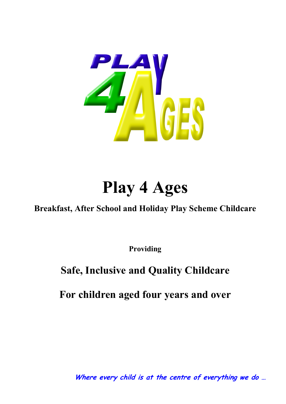

# **Play 4 Ages**

### **Breakfast, After School and Holiday Play Scheme Childcare**

**Providing**

## **Safe, Inclusive and Quality Childcare**

**For children aged four years and over**

**Where every child is at the centre of everything we do …**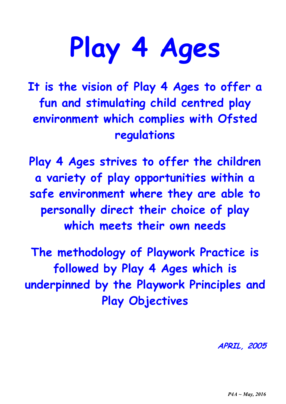# **Play 4 Ages**

**It is the vision of Play 4 Ages to offer a fun and stimulating child centred play environment which complies with Ofsted regulations**

**Play 4 Ages strives to offer the children a variety of play opportunities within a safe environment where they are able to personally direct their choice of play which meets their own needs**

**The methodology of Playwork Practice is followed by Play 4 Ages which is underpinned by the Playwork Principles and Play Objectives**

**APRIL, 2005**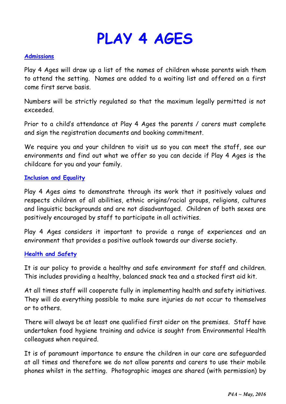# **PLAY 4 AGES**

#### **Admissions**

Play 4 Ages will draw up a list of the names of children whose parents wish them to attend the setting. Names are added to a waiting list and offered on a first come first serve basis.

Numbers will be strictly regulated so that the maximum legally permitted is not exceeded.

Prior to a child's attendance at Play 4 Ages the parents / carers must complete and sign the registration documents and booking commitment.

We require you and your children to visit us so you can meet the staff, see our environments and find out what we offer so you can decide if Play 4 Ages is the childcare for you and your family.

#### **Inclusion and Equality**

Play 4 Ages aims to demonstrate through its work that it positively values and respects children of all abilities, ethnic origins/racial groups, religions, cultures and linguistic backgrounds and are not disadvantaged. Children of both sexes are positively encouraged by staff to participate in all activities.

Play 4 Ages considers it important to provide a range of experiences and an environment that provides a positive outlook towards our diverse society.

#### **Health and Safety**

It is our policy to provide a healthy and safe environment for staff and children. This includes providing a healthy, balanced snack tea and a stocked first aid kit.

At all times staff will cooperate fully in implementing health and safety initiatives. They will do everything possible to make sure injuries do not occur to themselves or to others.

There will always be at least one qualified first aider on the premises. Staff have undertaken food hygiene training and advice is sought from Environmental Health colleagues when required.

It is of paramount importance to ensure the children in our care are safeguarded at all times and therefore we do not allow parents and carers to use their mobile phones whilst in the setting. Photographic images are shared (with permission) by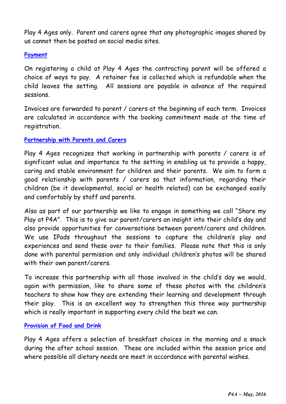Play 4 Ages only. Parent and carers agree that any photographic images shared by us cannot then be posted on social media sites.

#### **Payment**

On registering a child at Play 4 Ages the contracting parent will be offered a choice of ways to pay. A retainer fee is collected which is refundable when the child leaves the setting. All sessions are payable in advance of the required sessions.

Invoices are forwarded to parent / carers at the beginning of each term. Invoices are calculated in accordance with the booking commitment made at the time of registration.

#### **Partnership with Parents and Carers**

Play 4 Ages recognizes that working in partnership with parents / carers is of significant value and importance to the setting in enabling us to provide a happy, caring and stable environment for children and their parents. We aim to form a good relationship with parents / carers so that information, regarding their children (be it developmental, social or health related) can be exchanged easily and comfortably by staff and parents.

Also as part of our partnership we like to engage in something we call "Share my Play at P4A". This is to give our parent/carers an insight into their child's day and also provide opportunities for conversations between parent/carers and children. We use IPads throughout the sessions to capture the children's play and experiences and send these over to their families. Please note that this is only done with parental permission and only individual children's photos will be shared with their own parent/carers.

To increase this partnership with all those involved in the child's day we would, again with permission, like to share some of these photos with the children's teachers to show how they are extending their learning and development through their play. This is an excellent way to strengthen this three way partnership which is really important in supporting every child the best we can.

#### **Provision of Food and Drink**

Play 4 Ages offers a selection of breakfast choices in the morning and a snack during the after school session. These are included within the session price and where possible all dietary needs are meet in accordance with parental wishes.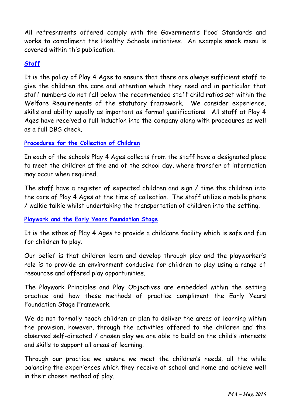All refreshments offered comply with the Government's Food Standards and works to compliment the Healthy Schools initiatives. An example snack menu is covered within this publication.

#### **Staff**

It is the policy of Play 4 Ages to ensure that there are always sufficient staff to give the children the care and attention which they need and in particular that staff numbers do not fall below the recommended staff:child ratios set within the Welfare Requirements of the statutory framework. We consider experience, skills and ability equally as important as formal qualifications. All staff at Play 4 Ages have received a full induction into the company along with procedures as well as a full DBS check.

#### **Procedures for the Collection of Children**

In each of the schools Play 4 Ages collects from the staff have a designated place to meet the children at the end of the school day, where transfer of information may occur when required.

The staff have a register of expected children and sign / time the children into the care of Play 4 Ages at the time of collection. The staff utilize a mobile phone / walkie talkie whilst undertaking the transportation of children into the setting.

#### **Playwork and the Early Years Foundation Stage**

It is the ethos of Play 4 Ages to provide a childcare facility which is safe and fun for children to play.

Our belief is that children learn and develop through play and the playworker's role is to provide an environment conducive for children to play using a range of resources and offered play opportunities.

The Playwork Principles and Play Objectives are embedded within the setting practice and how these methods of practice compliment the Early Years Foundation Stage Framework.

We do not formally teach children or plan to deliver the areas of learning within the provision, however, through the activities offered to the children and the observed self-directed / chosen play we are able to build on the child's interests and skills to support all areas of learning.

Through our practice we ensure we meet the children's needs, all the while balancing the experiences which they receive at school and home and achieve well in their chosen method of play.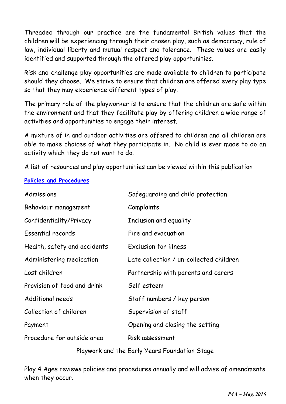Threaded through our practice are the fundamental British values that the children will be experiencing through their chosen play, such as democracy, rule of law, individual liberty and mutual respect and tolerance. These values are easily identified and supported through the offered play opportunities.

Risk and challenge play opportunities are made available to children to participate should they choose. We strive to ensure that children are offered every play type so that they may experience different types of play.

The primary role of the playworker is to ensure that the children are safe within the environment and that they facilitate play by offering children a wide range of activities and opportunities to engage their interest.

A mixture of in and outdoor activities are offered to children and all children are able to make choices of what they participate in. No child is ever made to do an activity which they do not want to do.

A list of resources and play opportunities can be viewed within this publication

#### **Policies and Procedures**

| Admissions                                    | Safeguarding and child protection       |  |  |
|-----------------------------------------------|-----------------------------------------|--|--|
| Behaviour management                          | Complaints                              |  |  |
| Confidentiality/Privacy                       | Inclusion and equality                  |  |  |
| Essential records                             | Fire and evacuation                     |  |  |
| Health, safety and accidents                  | Exclusion for illness                   |  |  |
| Administering medication                      | Late collection / un-collected children |  |  |
| Lost children                                 | Partnership with parents and carers     |  |  |
| Provision of food and drink                   | Self esteem                             |  |  |
| Additional needs                              | Staff numbers / key person              |  |  |
| Collection of children                        | Supervision of staff                    |  |  |
| Payment                                       | Opening and closing the setting         |  |  |
| Procedure for outside area                    | Risk assessment                         |  |  |
| Playwork and the Early Years Foundation Stage |                                         |  |  |

Play 4 Ages reviews policies and procedures annually and will advise of amendments when they occur.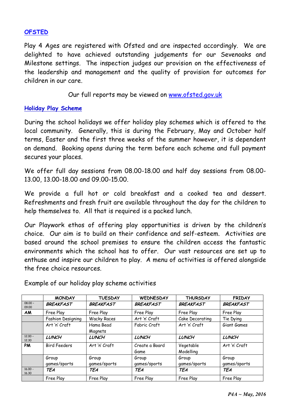#### **OFSTED**

Play 4 Ages are registered with Ofsted and are inspected accordingly. We are delighted to have achieved outstanding judgements for our Sevenoaks and Milestone settings. The inspection judges our provision on the effectiveness of the leadership and management and the quality of provision for outcomes for children in our care.

Our full reports may be viewed on www.ofsted.gov.uk

#### **Holiday Play Scheme**

During the school holidays we offer holiday play schemes which is offered to the local community. Generally, this is during the February, May and October half terms, Easter and the first three weeks of the summer however, it is dependent on demand. Booking opens during the term before each scheme and full payment secures your places.

We offer full day sessions from 08.00-18.00 and half day sessions from 08.00- 13.00, 13.00-18.00 and 09.00-15.00.

We provide a full hot or cold breakfast and a cooked tea and dessert. Refreshments and fresh fruit are available throughout the day for the children to help themselves to. All that is required is a packed lunch.

Our Playwork ethos of offering play opportunities is driven by the children's choice. Our aim is to build on their confidence and self-esteem. Activities are based around the school premises to ensure the children access the fantastic environments which the school has to offer. Our vast resources are set up to enthuse and inspire our children to play. A menu of activities is offered alongside the free choice resources.

|                    | <b>MONDAY</b>         | <b>TUESDAY</b>        | <b>WEDNESDAY</b>       | <b>THURSDAY</b>        | <b>FRIDAY</b>         |
|--------------------|-----------------------|-----------------------|------------------------|------------------------|-----------------------|
| $08.00 -$<br>09.00 | <b>BREAKFAST</b>      | <b>BREAKFAST</b>      | <b>BREAKFAST</b>       | <b>BREAKFAST</b>       | <b>BREAKFAST</b>      |
| <b>AM</b>          | Free Play             | Free Play             | Free Play              | Free Play              | Free Play             |
|                    | Fashion Designing     | <b>Wacky Races</b>    | Art 'n' Craft          | Cake Decorating        | Tie Dying             |
|                    | Art 'n' Craft         | Hama Bead<br>Magnets  | Fabric Craft           | Art 'n' Craft          | Giant Games           |
| $12,00 -$<br>12,30 | LUNCH                 | LUNCH                 | LUNCH                  | LUNCH                  | LUNCH                 |
| <b>PM</b>          | <b>Bird Feeders</b>   | Art 'n' Craft         | Create a Board<br>Game | Vegetable<br>Modelling | Art 'n' Craft         |
|                    | Group<br>games/sports | Group<br>games/sports | Group<br>games/sports  | Group<br>games/sports  | Group<br>games/sports |
| $16.00 -$<br>16,30 | <b>TEA</b>            | <b>TEA</b>            | <b>TEA</b>             | <b>TEA</b>             | <b>TEA</b>            |
|                    | Free Play             | Free Play             | Free Play              | Free Play              | Free Play             |

Example of our holiday play scheme activities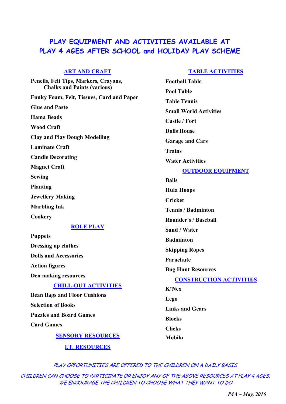#### **PLAY EQUIPMENT AND ACTIVITIES AVAILABLE AT PLAY 4 AGES AFTER SCHOOL and HOLIDAY PLAY SCHEME**

#### **ART AND CRAFT**

**Pencils, Felt Tips, Markers, Crayons, Chalks and Paints (various) Funky Foam, Felt, Tissues, Card and Paper Glue and Paste Hama Beads Wood Craft Clay and Play Dough Modelling Laminate Craft Candle Decorating Magnet Craft Sewing Planting Jewellery Making Marbling Ink Cookery**

#### **ROLE PLAY**

**Puppets Dressing up clothes Dolls and Accessories Action figures Den making resources**

#### **CHILL-OUT ACTIVITIES**

**Bean Bags and Floor Cushions Selection of Books Puzzles and Board Games Card Games**

**SENSORY RESOURCES**

**I.T. RESOURCES**

#### **TABLE ACTIVITIES**

**Football Table Pool Table Table Tennis Small World Activities Castle / Fort Dolls House Garage and Cars Trains Water Activities OUTDOOR EQUIPMENT Balls Hula Hoops Cricket Tennis / Badminton Rounder's / Baseball Sand / Water Badminton Skipping Ropes Parachute Bug Hunt Resources CONSTRUCTION ACTIVITIES K'Nex**

PLAY OPPORTUNITIES ARE OFFERED TO THE CHILDREN ON A DAILY BASIS

**Lego**

**Blocks**

**Clicks Mobilo**

**Links and Gears**

CHILDREN CAN CHOOSE TO PARTICIPATE OR ENJOY ANY OF THE ABOVE RESOURCES AT PLAY 4 AGES. WE ENCOURAGE THE CHILDREN TO CHOOSE WHAT THEY WANT TO DO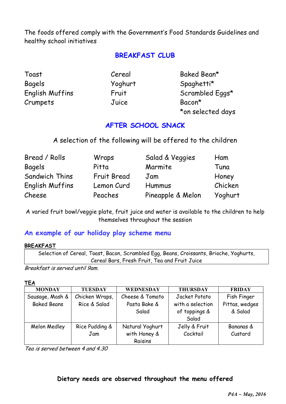The foods offered comply with the Government's Food Standards Guidelines and healthy school initiatives

#### **BREAKFAST CLUB**

| Toast           | Cereal  | Baked  |
|-----------------|---------|--------|
| Bagels          | Yoghurt | Spaghe |
| English Muffins | Fruit   | Scraml |
| Crumpets        | Juice   | Bacon* |

Cereal Baked Bean\* Yoghurt Spaghetti\* Fruit Scrambled Eggs\* \*on selected days

#### **AFTER SCHOOL SNACK**

#### A selection of the following will be offered to the children

| Bread / Rolls   | Wraps              | Salad & Veggies   | Ham     |
|-----------------|--------------------|-------------------|---------|
| Bagels          | Pitta              | Marmite           | Tuna    |
| Sandwich Thins  | <b>Fruit Bread</b> | Jam               | Honey   |
| English Muffins | Lemon Curd         | <b>Hummus</b>     | Chicken |
| Cheese          | Peaches            | Pineapple & Melon | Yoghurt |

A varied fruit bowl/veggie plate, fruit juice and water is available to the children to help themselves throughout the session

#### **An example of our holiday play scheme menu**

#### **BREAKFAST**

Selection of Cereal, Toast, Bacon, Scrambled Egg, Beans, Croissants, Brioche, Yoghurts, Cereal Bars, Fresh Fruit, Tea and Fruit Juice

Breakfast is served until 9am.

#### **TEA**

| <b>MONDAY</b>      | <b>TUESDAY</b> | <b>WEDNESDAY</b> | <b>THURSDAY</b>  | <b>FRIDAY</b>  |
|--------------------|----------------|------------------|------------------|----------------|
| Sausage, Mash &    | Chicken Wraps, | Cheese & Tomato  | Jacket Potato    | Fish Finger    |
| <b>Baked Beans</b> | Rice & Salad   | Pasta Bake &     | with a selection | Pittas, wedges |
|                    |                | Salad            | of toppings &    | & Salad        |
|                    |                |                  | Salad            |                |
| Melon Medley       | Rice Pudding & | Natural Yoghurt  | Jelly & Fruit    | Bananas &      |
|                    | Jam            | with Honey &     | Cocktail         | Custard        |
|                    |                | Raisins          |                  |                |

Tea is served between 4 and 4.30

#### **Dietary needs are observed throughout the menu offered**